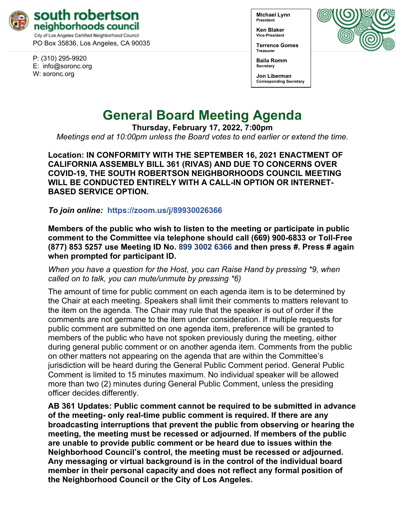

PO Box 35836, Los Angeles, CA 90035

P: (310) 295-9920 E: [info@soronc.org](mailto:info@soronc.org) W: soronc.org

**Michael Lynn President**

**Ken Blaker Vice-President**

**Terrence Gomes Treasurer**



**Baila Romm Secretary**

**Jon Liberman Corresponding Secretary**

# **General Board Meeting Agenda**

**Thursday, February 17, 2022, 7:00pm**

*Meetings end at 10:00pm unless the Board votes to end earlier or extend the time.*

**Location: IN CONFORMITY WITH THE SEPTEMBER 16, 2021 ENACTMENT OF CALIFORNIA ASSEMBLY BILL 361 (RIVAS) AND DUE TO CONCERNS OVER COVID-19, THE SOUTH ROBERTSON NEIGHBORHOODS COUNCIL MEETING WILL BE CONDUCTED ENTIRELY WITH A CALL-IN OPTION OR INTERNET-BASED SERVICE OPTION.**

*To join online:* **<https://zoom.us/j/89930026366>**

**Members of the public who wish to listen to the meeting or participate in public comment to the Committee via telephone should call (669) 900-6833 or Toll-Free (877) 853 5257 use Meeting ID No. 899 3002 6366 and then press #. Press # again when prompted for participant ID.** 

*When you have a question for the Host, you can Raise Hand by pressing \*9, when called on to talk, you can mute/unmute by pressing \*6)* 

The amount of time for public comment on each agenda item is to be determined by the Chair at each meeting. Speakers shall limit their comments to matters relevant to the item on the agenda. The Chair may rule that the speaker is out of order if the comments are not germane to the item under consideration. If multiple requests for public comment are submitted on one agenda item, preference will be granted to members of the public who have not spoken previously during the meeting, either during general public comment or on another agenda item. Comments from the public on other matters not appearing on the agenda that are within the Committee's jurisdiction will be heard during the General Public Comment period. General Public Comment is limited to 15 minutes maximum. No individual speaker will be allowed more than two (2) minutes during General Public Comment, unless the presiding officer decides differently.

**AB 361 Updates: Public comment cannot be required to be submitted in advance of the meeting- only real-time public comment is required. If there are any broadcasting interruptions that prevent the public from observing or hearing the meeting, the meeting must be recessed or adjourned. If members of the public are unable to provide public comment or be heard due to issues within the Neighborhood Council's control, the meeting must be recessed or adjourned. Any messaging or virtual background is in the control of the individual board member in their personal capacity and does not reflect any formal position of the Neighborhood Council or the City of Los Angeles.**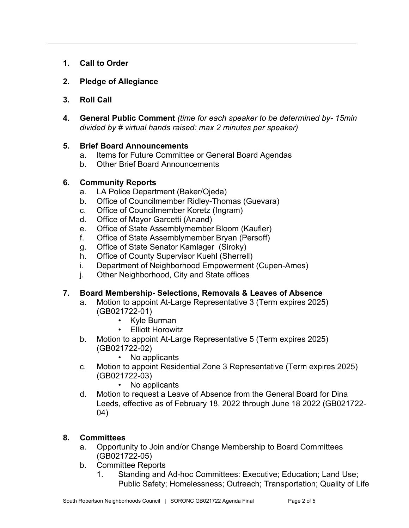- **1. Call to Order**
- **2. Pledge of Allegiance**
- **3. Roll Call**
- **4. General Public Comment** *(time for each speaker to be determined by- 15min divided by # virtual hands raised: max 2 minutes per speaker)*

#### **5. Brief Board Announcements**

- a. Items for Future Committee or General Board Agendas
- b. Other Brief Board Announcements

#### **6. Community Reports**

- a. LA Police Department (Baker/Ojeda)
- b. Office of Councilmember Ridley-Thomas (Guevara)
- c. Office of Councilmember Koretz (Ingram)
- d. Office of Mayor Garcetti (Anand)
- e. Office of State Assemblymember Bloom (Kaufler)
- f. Office of State Assemblymember Bryan (Persoff)
- g. Office of State Senator Kamlager (Siroky)
- h. Office of County Supervisor Kuehl (Sherrell)
- i. Department of Neighborhood Empowerment (Cupen-Ames)
- j. Other Neighborhood, City and State offices

# **7. Board Membership- Selections, Removals & Leaves of Absence**

- a. Motion to appoint At-Large Representative 3 (Term expires 2025) (GB021722-01)
	- Kyle Burman
	- Elliott Horowitz
- b. Motion to appoint At-Large Representative 5 (Term expires 2025) (GB021722-02)
	- No applicants
- c. Motion to appoint Residential Zone 3 Representative (Term expires 2025) (GB021722-03)
	- No applicants
- d. Motion to request a Leave of Absence from the General Board for Dina Leeds, effective as of February 18, 2022 through June 18 2022 (GB021722- 04)

# **8. Committees**

- a. Opportunity to Join and/or Change Membership to Board Committees (GB021722-05)
- b. Committee Reports
	- 1. Standing and Ad-hoc Committees: Executive; Education; Land Use; Public Safety; Homelessness; Outreach; Transportation; Quality of Life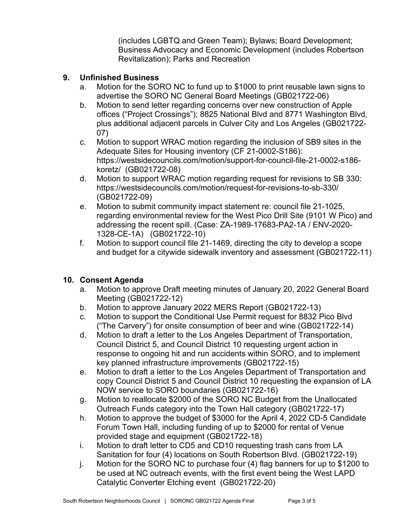(includes LGBTQ and Green Team); Bylaws; Board Development; Business Advocacy and Economic Development (includes Robertson Revitalization); Parks and Recreation

#### **9. Unfinished Business**

- a. Motion for the SORO NC to fund up to \$1000 to print reusable lawn signs to advertise the SORO NC General Board Meetings (GB021722-06)
- b. Motion to send letter regarding concerns over new construction of Apple offices ("Project Crossings"); 8825 National Blvd and 8771 Washington Blvd, plus additional adjacent parcels in Culver City and Los Angeles (GB021722- 07)
- c. Motion to support WRAC motion regarding the inclusion of SB9 sites in the Adequate Sites for Housing inventory (CF 21-0002-S186): https://westsidecouncils.com/motion/support-for-council-file-21-0002-s186 koretz/ (GB021722-08)
- d. Motion to support WRAC motion regarding request for revisions to SB 330: <https://westsidecouncils.com/motion/request-for-revisions-to-sb-330/> (GB021722-09)
- e. Motion to submit community impact statement re: council file 21-1025, regarding environmental review for the West Pico Drill Site (9101 W Pico) and addressing the recent spill. (Case: ZA-1989-17683-PA2-1A / ENV-2020- 1328-CE-1A) (GB021722-10)
- f. Motion to support council file 21-1469, directing the city to develop a scope and budget for a citywide sidewalk inventory and assessment (GB021722-11)

# **10. Consent Agenda**

- a. Motion to approve Draft meeting minutes of January 20, 2022 General Board Meeting (GB021722-12)
- b. Motion to approve January 2022 MERS Report (GB021722-13)
- c. Motion to support the Conditional Use Permit request for 8832 Pico Blvd ("The Carvery") for onsite consumption of beer and wine (GB021722-14)
- d. Motion to draft a letter to the Los Angeles Department of Transportation, Council District 5, and Council District 10 requesting urgent action in response to ongoing hit and run accidents within SORO, and to implement key planned infrastructure improvements (GB021722-15)
- e. Motion to draft a letter to the Los Angeles Department of Transportation and copy Council District 5 and Council District 10 requesting the expansion of LA NOW service to SORO boundaries (GB021722-16)
- g. Motion to reallocate \$2000 of the SORO NC Budget from the Unallocated Outreach Funds category into the Town Hall category (GB021722-17)
- h. Motion to approve the budget of \$3000 for the April 4, 2022 CD-5 Candidate Forum Town Hall, including funding of up to \$2000 for rental of Venue provided stage and equipment (GB021722-18)
- i. Motion to draft letter to CD5 and CD10 requesting trash cans from LA Sanitation for four (4) locations on South Robertson Blvd. (GB021722-19)
- j. Motion for the SORO NC to purchase four (4) flag banners for up to \$1200 to be used at NC outreach events, with the first event being the West LAPD Catalytic Converter Etching event (GB021722-20)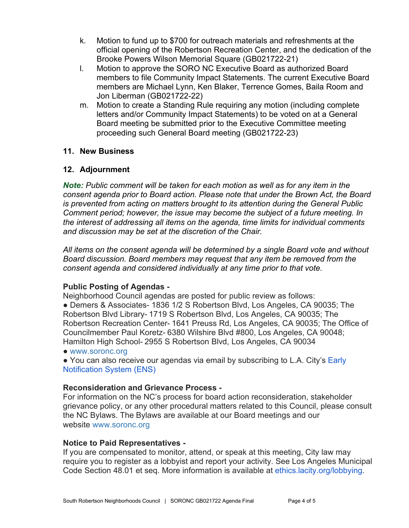- k. Motion to fund up to \$700 for outreach materials and refreshments at the official opening of the Robertson Recreation Center, and the dedication of the Brooke Powers Wilson Memorial Square (GB021722-21)
- l. Motion to approve the SORO NC Executive Board as authorized Board members to file Community Impact Statements. The current Executive Board members are Michael Lynn, Ken Blaker, Terrence Gomes, Baila Room and Jon Liberman (GB021722-22)
- m. Motion to create a Standing Rule requiring any motion (including complete letters and/or Community Impact Statements) to be voted on at a General Board meeting be submitted prior to the Executive Committee meeting proceeding such General Board meeting (GB021722-23)

# **11. New Business**

# **12. Adjournment**

*Note: Public comment will be taken for each motion as well as for any item in the consent agenda prior to Board action. Please note that under the Brown Act, the Board is prevented from acting on matters brought to its attention during the General Public Comment period; however, the issue may become the subject of a future meeting. In the interest of addressing all items on the agenda, time limits for individual comments and discussion may be set at the discretion of the Chair.*

*All items on the consent agenda will be determined by a single Board vote and without Board discussion. Board members may request that any item be removed from the consent agenda and considered individually at any time prior to that vote.*

#### **Public Posting of Agendas -**

Neighborhood Council agendas are posted for public review as follows: ● Demers & Associates- 1836 1/2 S Robertson Blvd, Los Angeles, CA 90035; The Robertson Blvd Library- 1719 S Robertson Blvd, Los Angeles, CA 90035; The Robertson Recreation Center- 1641 Preuss Rd, Los Angeles, CA 90035; The Office of Councilmember Paul Koretz- 6380 Wilshire Blvd #800, Los Angeles, CA 90048; Hamilton High School- 2955 S Robertson Blvd, Los Angeles, CA 90034

● [www.soronc.org](http://www.soronc.org/)

● You can also receive our agendas via email by subscribing to L.A. City's Early [Notification System \(ENS\)](https://www.lacity.org/government/subscribe-agendasnotifications/neighborhood-councils)

#### **Reconsideration and Grievance Process -**

For information on the NC's process for board action reconsideration, stakeholder grievance policy, or any other procedural matters related to this Council, please consult the NC Bylaws. The Bylaws are available at our Board meetings and our website [www.soronc.org](http://www.soronc.org/)

#### **Notice to Paid Representatives -**

If you are compensated to monitor, attend, or speak at this meeting, City law may require you to register as a lobbyist and report your activity. See Los Angeles Municipal Code Section 48.01 et seq. More information is available at [ethics.lacity.org/lobbying.](http://ethics.lacity.org/lobbying)